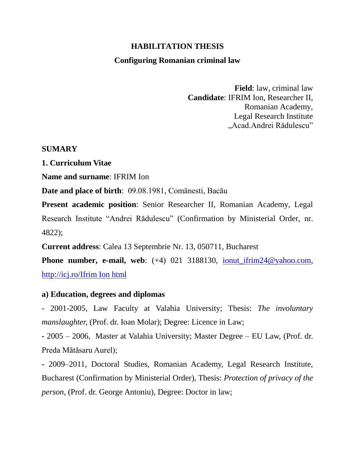## **HABILITATION THESIS**

### **Configuring Romanian criminal law**

**Field**: law, criminal law **Candidate**: IFRIM Ion, Researcher II, Romanian Academy, Legal Research Institute "Acad.Andrei Rădulescu"

#### **SUMARY**

**1. Curriculum Vitae**

**Name and surname**: IFRIM Ion

**Date and place of birth**: 09.08.1981, Comănesti, Bacău

**Present academic position**: Senior Researcher II, Romanian Academy, Legal Research Institute "Andrei Rădulescu" (Confirmation by Ministerial Order, nr. 4822);

**Current address**: Calea 13 Septembrie Nr. 13, 050711, Bucharest

**Phone number, e-mail, web**: (+4) 021 3188130, ionut ifrim24@yahoo.com, [http://icj.ro/Ifrim Ion html](http://icj.ro/Ifrim%20Ion%20html)

### **a) Education, degrees and diplomas**

- 2001-2005, Law Faculty at Valahia University; Thesis: *The involuntary manslaughter, (Prof. dr. Ioan Molar); Degree: Licence in Law;* 

**-** 2005 – 2006, Master at Valahia University; Master Degree – EU Law, (Prof. dr. Preda Mătăsaru Aurel);

**-** 2009–2011, Doctoral Studies, Romanian Academy, Legal Research Institute, Bucharest (Confirmation by Ministerial Order), Thesis: *Protection of privacy of the person,* (Prof. dr. George Antoniu), Degree: Doctor in law;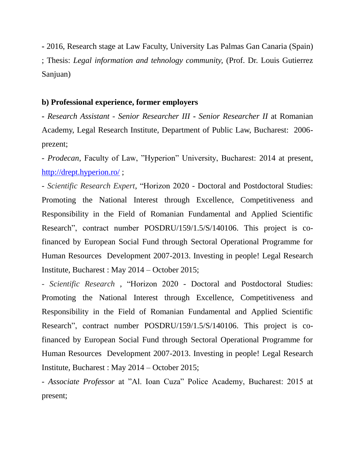**-** 2016, Research stage at Law Faculty, University Las Palmas Gan Canaria (Spain) ; Thesis: *Legal information and tehnology community,* (Prof. Dr. Louis Gutierrez Sanjuan)

## **b) Professional experience, former employers**

**-** *Research Assistant* - *Senior Researcher III* **-** *Senior Researcher II* at Romanian Academy, Legal Research Institute, Department of Public Law, Bucharest: 2006 prezent;

- *Prodecan*, Faculty of Law, "Hyperion" University, Bucharest: 2014 at present, <http://drept.hyperion.ro/> ;

- *Scientific Research Expert*, "Horizon 2020 - Doctoral and Postdoctoral Studies: Promoting the National Interest through Excellence, Competitiveness and Responsibility in the Field of Romanian Fundamental and Applied Scientific Research", contract number POSDRU/159/1.5/S/140106. This project is cofinanced by European Social Fund through Sectoral Operational Programme for Human Resources Development 2007-2013. Investing in people! Legal Research Institute, Bucharest : May 2014 – October 2015;

*- Scientific Research* , "Horizon 2020 - Doctoral and Postdoctoral Studies: Promoting the National Interest through Excellence, Competitiveness and Responsibility in the Field of Romanian Fundamental and Applied Scientific Research", contract number POSDRU/159/1.5/S/140106. This project is cofinanced by European Social Fund through Sectoral Operational Programme for Human Resources Development 2007-2013. Investing in people! Legal Research Institute, Bucharest : May 2014 – October 2015;

- *Associate Professor* at "Al. Ioan Cuza" Police Academy, Bucharest: 2015 at present;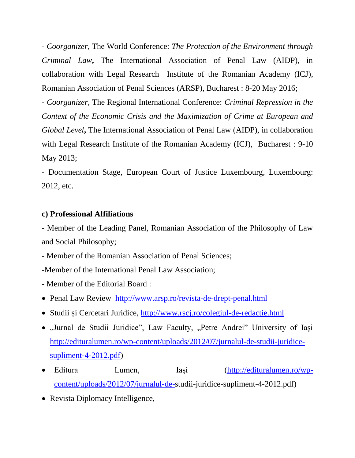- *Coorganizer*, The World Conference: *The Protection of the Environment through Criminal Law***,** The International Association of Penal Law (AIDP), in collaboration with Legal Research Institute of the Romanian Academy (ICJ), Romanian Association of Penal Sciences (ARSP), Bucharest : 8-20 May 2016;

- *Coorganizer*, The Regional International Conference: *Criminal Repression in the Context of the Economic Crisis and the Maximization of Crime at European and Global Level***,** The International Association of Penal Law (AIDP), in collaboration with Legal Research Institute of the Romanian Academy (ICJ), Bucharest : 9-10 May 2013;

- Documentation Stage, European Court of Justice Luxembourg, Luxembourg: 2012, etc.

## **c) Professional Affiliations**

- Member of the Leading Panel, Romanian Association of the Philosophy of Law and Social Philosophy;

- Member of the Romanian Association of Penal Sciences;

-Member of the International Penal Law Association;

- Member of the Editorial Board :

• Penal Law Review<http://www.arsp.ro/revista-de-drept-penal.html>

- Studii și Cercetari Juridice,<http://www.rscj.ro/colegiul-de-redactie.html>
- "Jurnal de Studii Juridice", Law Faculty, "Petre Andrei" University of Iași [http://edituralumen.ro/wp-content/uploads/2012/07/jurnalul-de-studii-juridice](http://edituralumen.ro/wp-content/uploads/2012/07/jurnalul-de-studii-juridice-supliment-4-2012.pdf)[supliment-4-2012.pdf\)](http://edituralumen.ro/wp-content/uploads/2012/07/jurnalul-de-studii-juridice-supliment-4-2012.pdf)
- Editura Lumen, Iasi [\(http://edituralumen.ro/wp](http://edituralumen.ro/wp-content/uploads/2012/07/jurnalul-de-)[content/uploads/2012/07/jurnalul-de-s](http://edituralumen.ro/wp-content/uploads/2012/07/jurnalul-de-)tudii-juridice-supliment-4-2012.pdf)
- Revista Diplomacy Intelligence,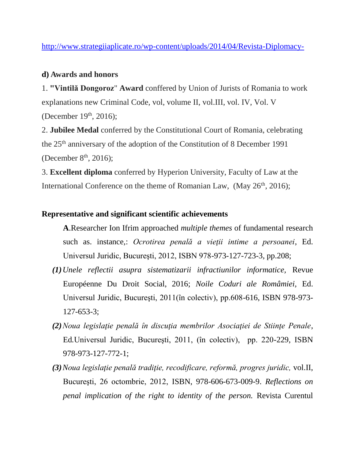<http://www.strategiiaplicate.ro/wp-content/uploads/2014/04/Revista-Diplomacy->

## **d) Awards and honors**

1. **"Vintilă Dongoroz**" **Award** conffered by Union of Jurists of Romania to work explanations new Criminal Code, vol, volume II, vol.III, vol. IV, Vol. V (December 19<sup>th</sup>, 2016);

2. **Jubilee Medal** conferred by the Constitutional Court of Romania, celebrating the 25<sup>th</sup> anniversary of the adoption of the Constitution of 8 December 1991 (December  $8<sup>th</sup>$ , 2016);

3. **Excellent diploma** conferred by Hyperion University, Faculty of Law at the International Conference on the theme of Romanian Law,  $(May 26<sup>th</sup>, 2016)$ ;

## **Representative and significant scientific achievements**

**A**.Researcher Ion Ifrim approached *multiple themes* of fundamental research such as. instance,: *Ocrotirea penală a vieţii intime a persoanei*, Ed. Universul Juridic, Bucureşti, 2012, ISBN 978-973-127-723-3, pp.208;

- *(1)Unele reflectii asupra sistematizarii infractiunilor informatice,* Revue Européenne Du Droit Social, 2016; *Noile Coduri ale Româmiei,* Ed. Universul Juridic, Bucureşti, 2011(în colectiv), pp.608-616, ISBN 978-973- 127-653-3;
- *(2)Noua legislaţie penală în discuţia membrilor Asociaţiei de Stiinţe Penale*, Ed*.*Universul Juridic, Bucureşti, 2011, (în colectiv), pp. 220-229, ISBN 978-973-127-772-1;
- *(3)Noua legislaţie penală tradiţie, recodificare, reformă, progres juridic,* vol.II, Bucureşti, 26 octombrie, 2012, ISBN, 978-606-673-009-9. *Reflections on penal implication of the right to identity of the person.* Revista Curentul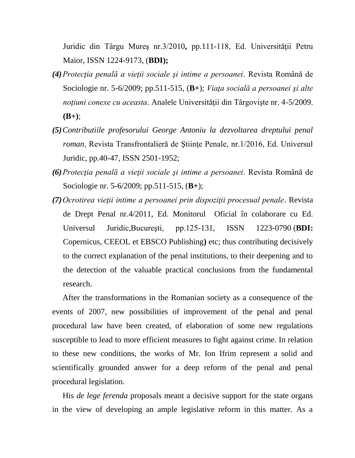Juridic din Târgu Mureş nr.3/2010**,** pp.111-118, Ed. Universităţii Petru Maior, ISSN 1224-9173, (**BDI);** 

- *(4)Protecţia penală a vieţii sociale şi intime a persoanei*. Revista Română de Sociologie nr. 5-6/2009; pp.511-515, (**B+**); *Viaţa socială a persoanei şi alte noţiuni conexe cu aceasta*. Analele Universităţii din Târgovişte nr. 4-5/2009. **(B+)**;
- *(5)Contributiile profesorului George Antoniu la dezvoltarea dreptului penal roman*, Revista Transfrontalieră de Științe Penale, nr. 1/2016, Ed. Universul Juridic, pp.40-47, ISSN 2501-1952;
- *(6)Protecţia penală a vieţii sociale şi intime a persoanei*. Revista Română de Sociologie nr. 5-6/2009; pp.511-515, (**B+**);
- *(7)Ocrotirea vieţii intime a persoanei prin dispoziţii procesual penale*. Revista de Drept Penal nr.4/2011, Ed. Monitorul Oficial în colaborare cu Ed. Universul Juridic,Bucureşti, pp.125-131, ISSN 1223-0790 (**BDI:** Copernicus, CEEOL et EBSCO Publishing**)** etc; thus contributing decisively to the correct explanation of the penal institutions, to their deepening and to the detection of the valuable practical conclusions from the fundamental research.

After the transformations in the Romanian society as a consequence of the events of 2007, new possibilities of improvement of the penal and penal procedural law have been created, of elaboration of some new regulations susceptible to lead to more efficient measures to fight against crime. In relation to these new conditions, the works of Mr. Ion Ifrim represent a solid and scientifically grounded answer for a deep reform of the penal and penal procedural legislation.

His *de lege ferenda* proposals meant a decisive support for the state organs in the view of developing an ample legislative reform in this matter. As a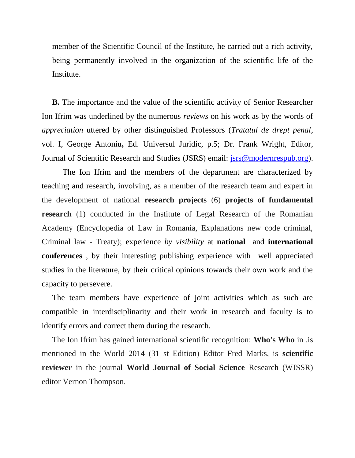member of the Scientific Council of the Institute, he carried out a rich activity, being permanently involved in the organization of the scientific life of the Institute.

**B.** The importance and the value of the scientific activity of Senior Researcher Ion Ifrim was underlined by the numerous *reviews* on his work as by the words of *appreciation* uttered by other distinguished Professors (*Tratatul de drept penal*, vol. I, George Antoniu**,** Ed. Universul Juridic, p.5; Dr. Frank Wright, Editor, Journal of Scientific Research and Studies (JSRS) email: [jsrs@modernrespub.org\)](mailto:jsrs@modernrespub.org).

The Ion Ifrim and the members of the department are characterized by teaching and research, involving, as a member of the research team and expert in the development of national **research projects** (6) **projects of fundamental research** (1) conducted in the Institute of Legal Research of the Romanian Academy (Encyclopedia of Law in Romania, Explanations new code criminal, Criminal law - Treaty); experience *by visibility* at **national** and **international conferences** , by their interesting publishing experience with well appreciated studies in the literature, by their critical opinions towards their own work and the capacity to persevere.

The team members have experience of joint activities which as such are compatible in interdisciplinarity and their work in research and faculty is to identify errors and correct them during the research.

The Ion Ifrim has gained international scientific recognition: **Who's Who** in .is mentioned in the World 2014 (31 st Edition) Editor Fred Marks, is **scientific reviewer** in the journal **World Journal of Social Science** Research (WJSSR) editor Vernon Thompson.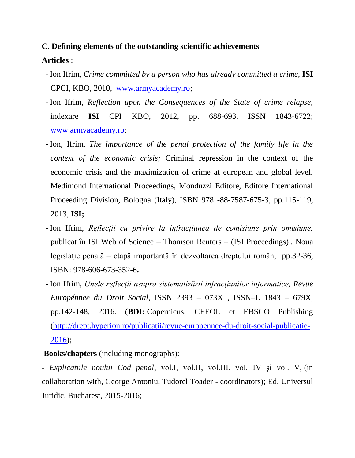# **C. Defining elements of the outstanding scientific achievements Articles** :

- Ion Ifrim, *Crime committed by a person who has already committed a crime,* **ISI**  CPCI, KBO, 2010, [www.armyacademy.ro;](http://www.armyacademy.ro/)
- Ion Ifrim, *Reflection upon the Consequences of the State of crime relapse,*  indexare **ISI** CPI KBO, 2012, pp. 688-693, ISSN 1843-6722; [www.armyacademy.ro;](http://www.armyacademy.ro/)
- Ion, Ifrim, *The importance of the penal protection of the family life in the context of the economic crisis;* Criminal repression in the context of the economic crisis and the maximization of crime at european and global level. Medimond International Proceedings, Monduzzi Editore, Editore International Proceeding Division, Bologna (Italy), ISBN 978 -88-7587-675-3, pp.115-119, 2013, **ISI;**
- Ion Ifrim, *Reflecţii cu privire la infracţiunea de comisiune prin omisiune,* publicat în ISI Web of Science – Thomson Reuters – (ISI Proceedings) , Noua legislație penală – etapă importantă în dezvoltarea dreptului român, pp.32-36, ISBN: 978-606-673-352-6**.**
- Ion Ifrim, *Unele reflecţii asupra sistematizării infracţiunilor informatice, Revue Europénnee du Droit Social,* ISSN 2393 – 073X , ISSN–L 1843 – 679X, pp.142-148, 2016. (**BDI:** Copernicus, CEEOL et EBSCO Publishing [\(http://drept.hyperion.ro/publicatii/revue-europennee-du-droit-social-publicatie-](http://drept.hyperion.ro/publicatii/revue-europennee-du-droit-social-publicatie-2016)[2016\)](http://drept.hyperion.ro/publicatii/revue-europennee-du-droit-social-publicatie-2016);

## **Books/chapters** (including monographs):

- *Explicatiile noului Cod penal*, vol.I, vol.II, vol.III, vol. IV şi vol. V, (in collaboration with, George Antoniu, Tudorel Toader - coordinators); Ed. Universul Juridic, Bucharest, 2015-2016;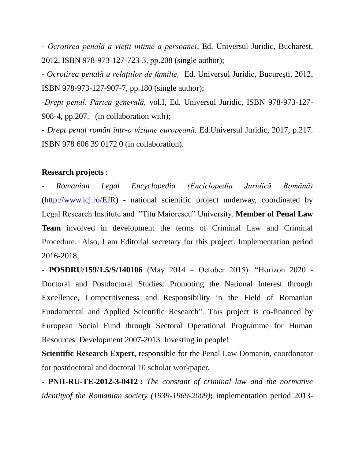- *Ocrotirea penală a vieţii intime a persoanei*, Ed. Universul Juridic, Bucharest, 2012, ISBN 978-973-127-723-3, pp.208 (single author);

- *Ocrotirea penală a relaţiilor de familie,* Ed. Universul Juridic, Bucureşti, 2012, ISBN 978-973-127-907-7, pp.180 (single author);

*-Drept penal. Partea generală,* vol.I*,* Ed. Universul Juridic, ISBN 978-973-127- 908-4, pp.207.(in collaboration with);

- *Drept penal român într-o viziune europeană,* Ed.Universul Juridic, 2017, p.217. ISBN 978 606 39 0172 0 (in collaboration).

#### **Research projects** :

- *Romanian Legal Encyclopedia (Enciclopedia Juridică Română)* [\(http://www.icj.ro/EJR\)](http://www.icj.ro/EJR) - national scientific project underway, coordinated by Legal Research Institute and "Titu Maiorescu" University. **Member of Penal Law Team** involved in development the terms of Criminal Law and Criminal Procedure. Also, I am Editorial secretary for this project. Implementation period 2016-2018;

**- POSDRU/159/1.5/S/140106** (May 2014 – October 2015): "Horizon 2020 - Doctoral and Postdoctoral Studies: Promoting the National Interest through Excellence, Competitiveness and Responsibility in the Field of Romanian Fundamental and Applied Scientific Research". This project is co-financed by European Social Fund through Sectoral Operational Programme for Human Resources Development 2007-2013. Investing in people!

**Scientific Research Expert,** responsible for the Penal Law Domanin, coordonator for postdoctoral and doctoral 10 scholar workpaper.

**- PNII-RU-TE-2012-3-0412 :** *The constant of criminal law and the normative identityof the Romanian society (1939-1969-2009)***;** implementation period 2013